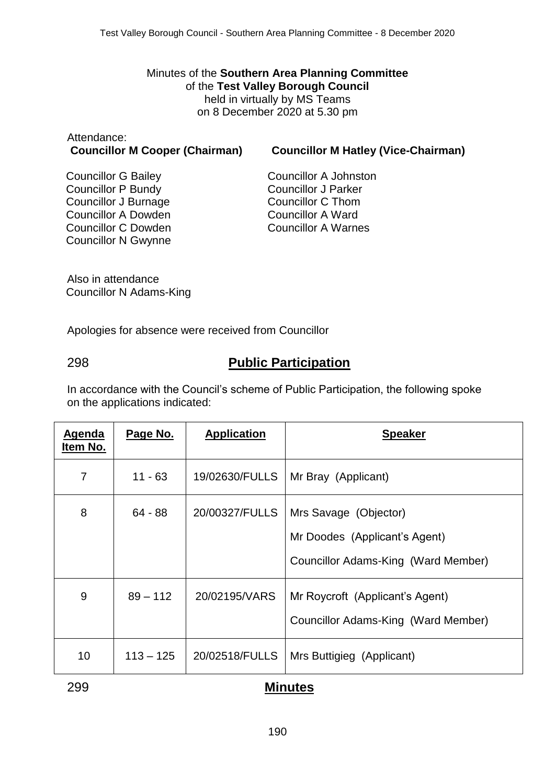Minutes of the **Southern Area Planning Committee** of the **Test Valley Borough Council** held in virtually by MS Teams on 8 December 2020 at 5.30 pm

| Attendance:                           |  |  |
|---------------------------------------|--|--|
| <b>Councillor M Cooper (Chairman)</b> |  |  |

**Councillor M Hatley (Vice-Chairman)** 

Councillor G Bailey Councillor P Bundy Councillor J Burnage Councillor A Dowden Councillor C Dowden Councillor N Gwynne

Councillor A Johnston Councillor J Parker Councillor C Thom Councillor A Ward Councillor A Warnes

Also in attendance Councillor N Adams-King

Apologies for absence were received from Councillor

# 298 **Public Participation**

In accordance with the Council's scheme of Public Participation, the following spoke on the applications indicated:

| Agenda<br>ltem No. | Page No.    | <b>Application</b> | <b>Speaker</b>                                                                                |
|--------------------|-------------|--------------------|-----------------------------------------------------------------------------------------------|
| $\overline{7}$     | $11 - 63$   | 19/02630/FULLS     | Mr Bray (Applicant)                                                                           |
| 8                  | $64 - 88$   | 20/00327/FULLS     | Mrs Savage (Objector)<br>Mr Doodes (Applicant's Agent)<br>Councillor Adams-King (Ward Member) |
| 9                  | $89 - 112$  | 20/02195/VARS      | Mr Roycroft (Applicant's Agent)<br>Councillor Adams-King (Ward Member)                        |
| 10                 | $113 - 125$ | 20/02518/FULLS     | Mrs Buttigieg (Applicant)                                                                     |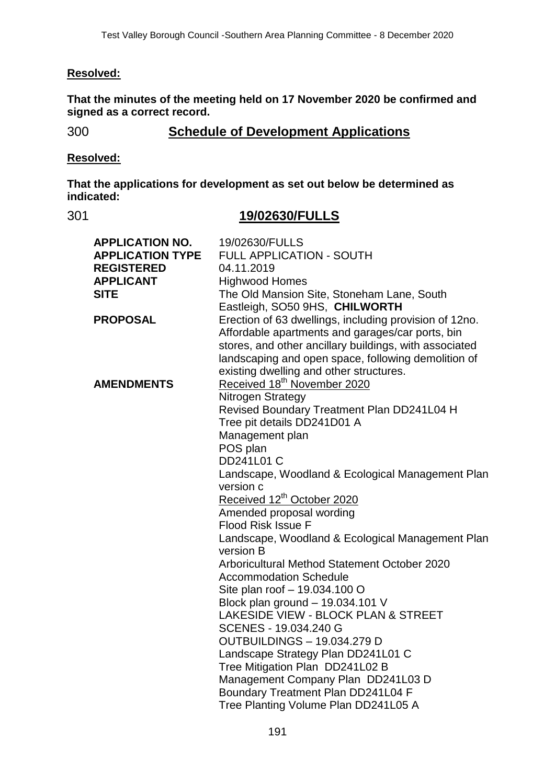### **Resolved:**

**That the minutes of the meeting held on 17 November 2020 be confirmed and signed as a correct record.**

# 300 **Schedule of Development Applications**

### **Resolved:**

**That the applications for development as set out below be determined as indicated:**

### 301 **19/02630/FULLS**

| <b>APPLICATION NO.</b>  | 19/02630/FULLS                                                          |
|-------------------------|-------------------------------------------------------------------------|
| <b>APPLICATION TYPE</b> | <b>FULL APPLICATION - SOUTH</b>                                         |
| <b>REGISTERED</b>       | 04.11.2019                                                              |
| <b>APPLICANT</b>        | <b>Highwood Homes</b>                                                   |
| <b>SITE</b>             | The Old Mansion Site, Stoneham Lane, South                              |
|                         | Eastleigh, SO50 9HS, CHILWORTH                                          |
| <b>PROPOSAL</b>         | Erection of 63 dwellings, including provision of 12no.                  |
|                         | Affordable apartments and garages/car ports, bin                        |
|                         | stores, and other ancillary buildings, with associated                  |
|                         | landscaping and open space, following demolition of                     |
|                         | existing dwelling and other structures.                                 |
| <b>AMENDMENTS</b>       | Received 18 <sup>th</sup> November 2020                                 |
|                         | <b>Nitrogen Strategy</b>                                                |
|                         | Revised Boundary Treatment Plan DD241L04 H                              |
|                         | Tree pit details DD241D01 A                                             |
|                         | Management plan                                                         |
|                         | POS plan                                                                |
|                         | <b>DD241L01 C</b>                                                       |
|                         | Landscape, Woodland & Ecological Management Plan                        |
|                         | version c                                                               |
|                         | Received 12 <sup>th</sup> October 2020                                  |
|                         | Amended proposal wording                                                |
|                         | Flood Risk Issue F                                                      |
|                         | Landscape, Woodland & Ecological Management Plan                        |
|                         | version B                                                               |
|                         | Arboricultural Method Statement October 2020                            |
|                         | <b>Accommodation Schedule</b>                                           |
|                         | Site plan roof - 19.034.100 O                                           |
|                         | Block plan ground - 19.034.101 V<br>LAKESIDE VIEW - BLOCK PLAN & STREET |
|                         | SCENES - 19.034.240 G                                                   |
|                         | OUTBUILDINGS - 19.034.279 D                                             |
|                         |                                                                         |
|                         | Landscape Strategy Plan DD241L01 C<br>Tree Mitigation Plan DD241L02 B   |
|                         | Management Company Plan DD241L03 D                                      |
|                         | Boundary Treatment Plan DD241L04 F                                      |
|                         | Tree Planting Volume Plan DD241L05 A                                    |
|                         |                                                                         |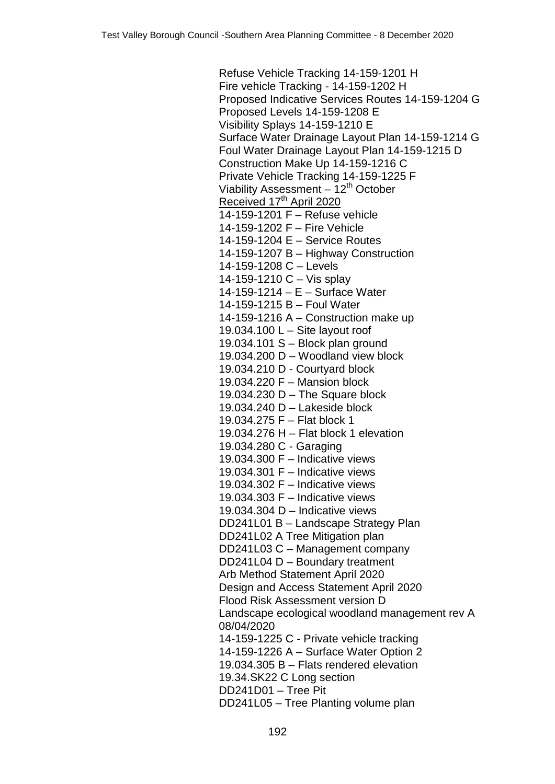Refuse Vehicle Tracking 14-159-1201 H Fire vehicle Tracking - 14-159-1202 H Proposed Indicative Services Routes 14-159-1204 G Proposed Levels 14-159-1208 E Visibility Splays 14-159-1210 E Surface Water Drainage Layout Plan 14-159-1214 G Foul Water Drainage Layout Plan 14-159-1215 D Construction Make Up 14-159-1216 C Private Vehicle Tracking 14-159-1225 F Viability Assessment –  $12<sup>th</sup>$  October Received 17<sup>th</sup> April 2020 14-159-1201 F – Refuse vehicle 14-159-1202 F – Fire Vehicle 14-159-1204 E – Service Routes 14-159-1207 B – Highway Construction 14-159-1208 C – Levels 14-159-1210 C – Vis splay 14-159-1214 – E – Surface Water 14-159-1215 B – Foul Water 14-159-1216 A – Construction make up 19.034.100 L – Site layout roof 19.034.101 S – Block plan ground 19.034.200 D – Woodland view block 19.034.210 D - Courtyard block 19.034.220 F – Mansion block 19.034.230 D – The Square block 19.034.240 D – Lakeside block 19.034.275 F – Flat block 1 19.034.276 H – Flat block 1 elevation 19.034.280 C - Garaging 19.034.300 F – Indicative views 19.034.301 F – Indicative views 19.034.302 F – Indicative views 19.034.303 F – Indicative views 19.034.304 D – Indicative views DD241L01 B – Landscape Strategy Plan DD241L02 A Tree Mitigation plan DD241L03 C – Management company DD241L04 D – Boundary treatment Arb Method Statement April 2020 Design and Access Statement April 2020 Flood Risk Assessment version D Landscape ecological woodland management rev A 08/04/2020 14-159-1225 C - Private vehicle tracking 14-159-1226 A – Surface Water Option 2 19.034.305 B – Flats rendered elevation 19.34.SK22 C Long section DD241D01 – Tree Pit DD241L05 – Tree Planting volume plan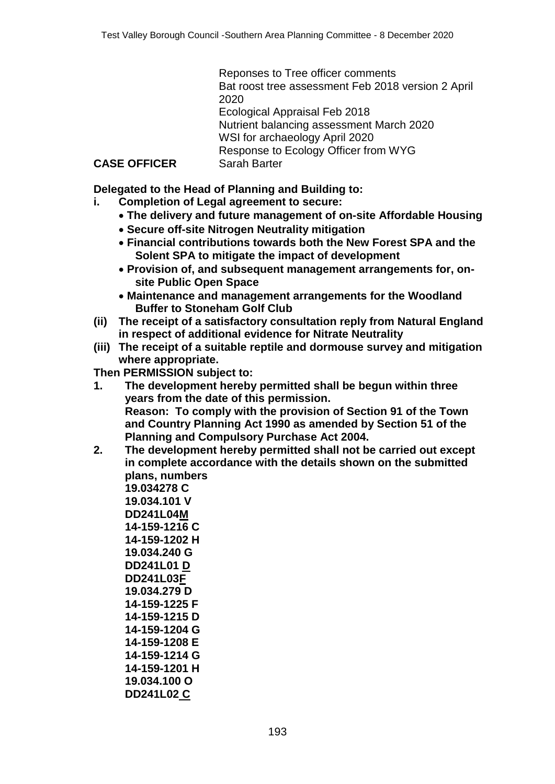Reponses to Tree officer comments Bat roost tree assessment Feb 2018 version 2 April 2020 Ecological Appraisal Feb 2018 Nutrient balancing assessment March 2020 WSI for archaeology April 2020 Response to Ecology Officer from WYG

### **CASE OFFICER** Sarah Barter

**Delegated to the Head of Planning and Building to:**

- **i. Completion of Legal agreement to secure:**
	- **The delivery and future management of on-site Affordable Housing**
	- **Secure off-site Nitrogen Neutrality mitigation**
	- **Financial contributions towards both the New Forest SPA and the Solent SPA to mitigate the impact of development**
	- **Provision of, and subsequent management arrangements for, onsite Public Open Space**
	- **Maintenance and management arrangements for the Woodland Buffer to Stoneham Golf Club**
- **(ii) The receipt of a satisfactory consultation reply from Natural England in respect of additional evidence for Nitrate Neutrality**
- **(iii) The receipt of a suitable reptile and dormouse survey and mitigation where appropriate.**

**Then PERMISSION subject to:**

- **1. The development hereby permitted shall be begun within three years from the date of this permission. Reason: To comply with the provision of Section 91 of the Town and Country Planning Act 1990 as amended by Section 51 of the Planning and Compulsory Purchase Act 2004.**
- **2. The development hereby permitted shall not be carried out except in complete accordance with the details shown on the submitted plans, numbers**

**19.034278 C 19.034.101 V DD241L04M 14-159-1216 C 14-159-1202 H 19.034.240 G DD241L01 D DD241L03F 19.034.279 D 14-159-1225 F 14-159-1215 D 14-159-1204 G 14-159-1208 E 14-159-1214 G 14-159-1201 H 19.034.100 O DD241L02 C**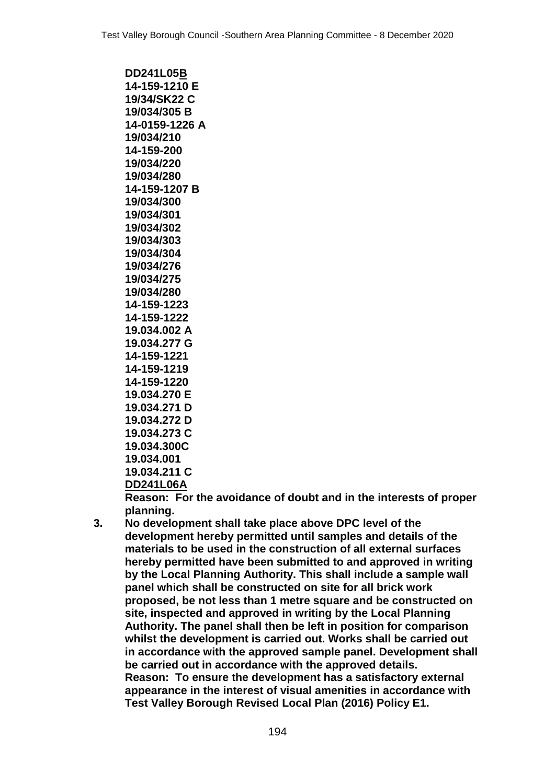**DD241L05B 14-159-1210 E 19/34/SK22 C 19/034/305 B 14-0159-1226 A 19/034/210 14-159-200 19/034/220 19/034/280 14-159-1207 B 19/034/300 19/034/301 19/034/302 19/034/303 19/034/304 19/034/276 19/034/275 19/034/280 14-159-1223 14-159-1222 19.034.002 A 19.034.277 G 14-159-1221 14-159-1219 14-159-1220 19.034.270 E 19.034.271 D 19.034.272 D 19.034.273 C 19.034.300C 19.034.001 19.034.211 C DD241L06A**

**Reason: For the avoidance of doubt and in the interests of proper planning.**

**3. No development shall take place above DPC level of the development hereby permitted until samples and details of the materials to be used in the construction of all external surfaces hereby permitted have been submitted to and approved in writing by the Local Planning Authority. This shall include a sample wall panel which shall be constructed on site for all brick work proposed, be not less than 1 metre square and be constructed on site, inspected and approved in writing by the Local Planning Authority. The panel shall then be left in position for comparison whilst the development is carried out. Works shall be carried out in accordance with the approved sample panel. Development shall be carried out in accordance with the approved details. Reason: To ensure the development has a satisfactory external appearance in the interest of visual amenities in accordance with Test Valley Borough Revised Local Plan (2016) Policy E1.**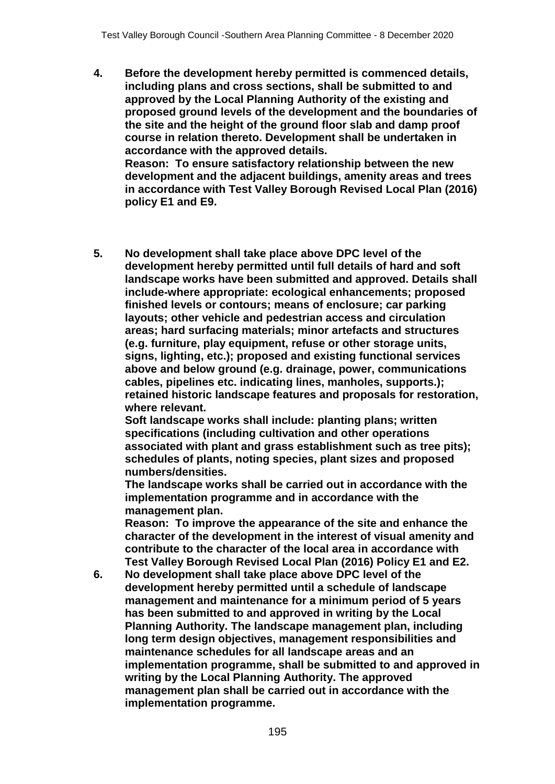**4. Before the development hereby permitted is commenced details, including plans and cross sections, shall be submitted to and approved by the Local Planning Authority of the existing and proposed ground levels of the development and the boundaries of the site and the height of the ground floor slab and damp proof course in relation thereto. Development shall be undertaken in accordance with the approved details. Reason: To ensure satisfactory relationship between the new** 

**development and the adjacent buildings, amenity areas and trees in accordance with Test Valley Borough Revised Local Plan (2016) policy E1 and E9.** 

**5. No development shall take place above DPC level of the development hereby permitted until full details of hard and soft landscape works have been submitted and approved. Details shall include-where appropriate: ecological enhancements; proposed finished levels or contours; means of enclosure; car parking layouts; other vehicle and pedestrian access and circulation areas; hard surfacing materials; minor artefacts and structures (e.g. furniture, play equipment, refuse or other storage units, signs, lighting, etc.); proposed and existing functional services above and below ground (e.g. drainage, power, communications cables, pipelines etc. indicating lines, manholes, supports.); retained historic landscape features and proposals for restoration, where relevant.**

**Soft landscape works shall include: planting plans; written specifications (including cultivation and other operations associated with plant and grass establishment such as tree pits); schedules of plants, noting species, plant sizes and proposed numbers/densities.**

**The landscape works shall be carried out in accordance with the implementation programme and in accordance with the management plan.**

**Reason: To improve the appearance of the site and enhance the character of the development in the interest of visual amenity and contribute to the character of the local area in accordance with Test Valley Borough Revised Local Plan (2016) Policy E1 and E2.**

**6. No development shall take place above DPC level of the development hereby permitted until a schedule of landscape management and maintenance for a minimum period of 5 years has been submitted to and approved in writing by the Local Planning Authority. The landscape management plan, including long term design objectives, management responsibilities and maintenance schedules for all landscape areas and an implementation programme, shall be submitted to and approved in writing by the Local Planning Authority. The approved management plan shall be carried out in accordance with the implementation programme.**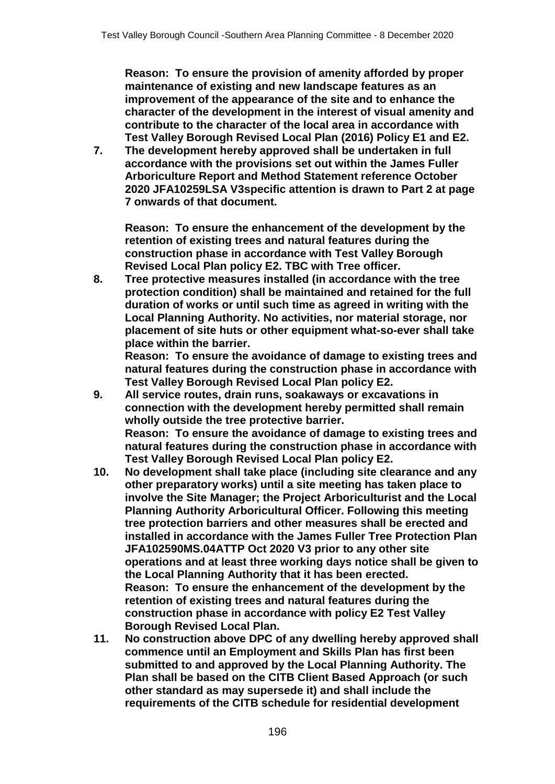**Reason: To ensure the provision of amenity afforded by proper maintenance of existing and new landscape features as an improvement of the appearance of the site and to enhance the character of the development in the interest of visual amenity and contribute to the character of the local area in accordance with Test Valley Borough Revised Local Plan (2016) Policy E1 and E2.**

**7. The development hereby approved shall be undertaken in full accordance with the provisions set out within the James Fuller Arboriculture Report and Method Statement reference October 2020 JFA10259LSA V3specific attention is drawn to Part 2 at page 7 onwards of that document.**

**Reason: To ensure the enhancement of the development by the retention of existing trees and natural features during the construction phase in accordance with Test Valley Borough Revised Local Plan policy E2. TBC with Tree officer.**

**8. Tree protective measures installed (in accordance with the tree protection condition) shall be maintained and retained for the full duration of works or until such time as agreed in writing with the Local Planning Authority. No activities, nor material storage, nor placement of site huts or other equipment what-so-ever shall take place within the barrier.**

**Reason: To ensure the avoidance of damage to existing trees and natural features during the construction phase in accordance with Test Valley Borough Revised Local Plan policy E2.**

- **9. All service routes, drain runs, soakaways or excavations in connection with the development hereby permitted shall remain wholly outside the tree protective barrier. Reason: To ensure the avoidance of damage to existing trees and natural features during the construction phase in accordance with Test Valley Borough Revised Local Plan policy E2.**
- **10. No development shall take place (including site clearance and any other preparatory works) until a site meeting has taken place to involve the Site Manager; the Project Arboriculturist and the Local Planning Authority Arboricultural Officer. Following this meeting tree protection barriers and other measures shall be erected and installed in accordance with the James Fuller Tree Protection Plan JFA102590MS.04ATTP Oct 2020 V3 prior to any other site operations and at least three working days notice shall be given to the Local Planning Authority that it has been erected. Reason: To ensure the enhancement of the development by the retention of existing trees and natural features during the construction phase in accordance with policy E2 Test Valley Borough Revised Local Plan.**
- **11. No construction above DPC of any dwelling hereby approved shall commence until an Employment and Skills Plan has first been submitted to and approved by the Local Planning Authority. The Plan shall be based on the CITB Client Based Approach (or such other standard as may supersede it) and shall include the requirements of the CITB schedule for residential development**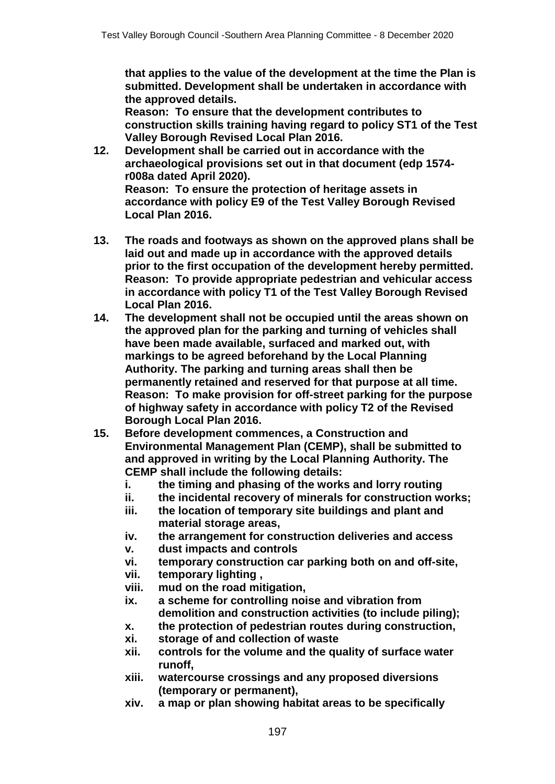**that applies to the value of the development at the time the Plan is submitted. Development shall be undertaken in accordance with the approved details.**

**Reason: To ensure that the development contributes to construction skills training having regard to policy ST1 of the Test Valley Borough Revised Local Plan 2016.**

- **12. Development shall be carried out in accordance with the archaeological provisions set out in that document (edp 1574 r008a dated April 2020). Reason: To ensure the protection of heritage assets in accordance with policy E9 of the Test Valley Borough Revised Local Plan 2016.**
- **13. The roads and footways as shown on the approved plans shall be laid out and made up in accordance with the approved details prior to the first occupation of the development hereby permitted. Reason: To provide appropriate pedestrian and vehicular access in accordance with policy T1 of the Test Valley Borough Revised Local Plan 2016.**
- **14. The development shall not be occupied until the areas shown on the approved plan for the parking and turning of vehicles shall have been made available, surfaced and marked out, with markings to be agreed beforehand by the Local Planning Authority. The parking and turning areas shall then be permanently retained and reserved for that purpose at all time. Reason: To make provision for off-street parking for the purpose of highway safety in accordance with policy T2 of the Revised Borough Local Plan 2016.**
- **15. Before development commences, a Construction and Environmental Management Plan (CEMP), shall be submitted to and approved in writing by the Local Planning Authority. The CEMP shall include the following details:**
	- **i. the timing and phasing of the works and lorry routing**
	- **ii. the incidental recovery of minerals for construction works;**
	- **iii. the location of temporary site buildings and plant and material storage areas,**
	- **iv. the arrangement for construction deliveries and access**
	- **v. dust impacts and controls**
	- **vi. temporary construction car parking both on and off-site,**
	- **vii. temporary lighting ,**
	- **viii. mud on the road mitigation,**
	- **ix. a scheme for controlling noise and vibration from demolition and construction activities (to include piling);**
	- **x. the protection of pedestrian routes during construction,**
	- **xi. storage of and collection of waste**
	- **xii. controls for the volume and the quality of surface water runoff,**
	- **xiii. watercourse crossings and any proposed diversions (temporary or permanent),**
	- **xiv. a map or plan showing habitat areas to be specifically**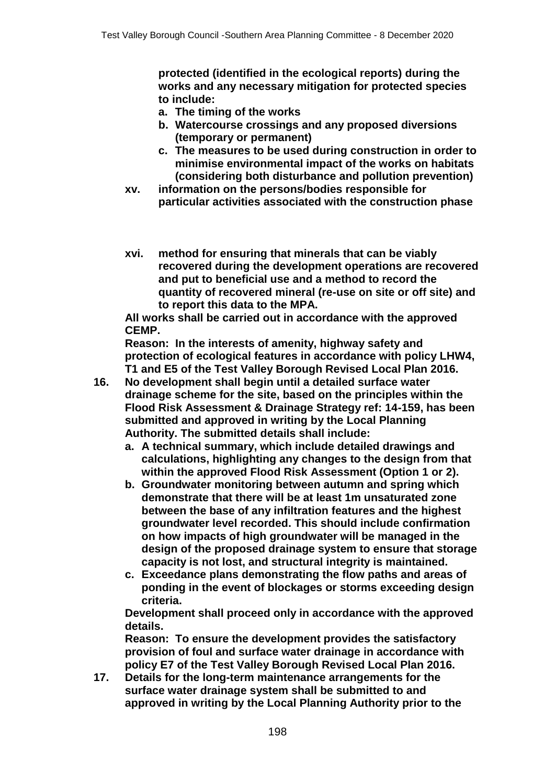**protected (identified in the ecological reports) during the works and any necessary mitigation for protected species to include:**

- **a. The timing of the works**
- **b. Watercourse crossings and any proposed diversions (temporary or permanent)**
- **c. The measures to be used during construction in order to minimise environmental impact of the works on habitats (considering both disturbance and pollution prevention)**
- **xv. information on the persons/bodies responsible for particular activities associated with the construction phase**
- **xvi. method for ensuring that minerals that can be viably recovered during the development operations are recovered and put to beneficial use and a method to record the quantity of recovered mineral (re-use on site or off site) and to report this data to the MPA.**

**All works shall be carried out in accordance with the approved CEMP.** 

**Reason: In the interests of amenity, highway safety and protection of ecological features in accordance with policy LHW4, T1 and E5 of the Test Valley Borough Revised Local Plan 2016.**

- **16. No development shall begin until a detailed surface water drainage scheme for the site, based on the principles within the Flood Risk Assessment & Drainage Strategy ref: 14-159, has been submitted and approved in writing by the Local Planning Authority. The submitted details shall include:**
	- **a. A technical summary, which include detailed drawings and calculations, highlighting any changes to the design from that within the approved Flood Risk Assessment (Option 1 or 2).**
	- **b. Groundwater monitoring between autumn and spring which demonstrate that there will be at least 1m unsaturated zone between the base of any infiltration features and the highest groundwater level recorded. This should include confirmation on how impacts of high groundwater will be managed in the design of the proposed drainage system to ensure that storage capacity is not lost, and structural integrity is maintained.**
	- **c. Exceedance plans demonstrating the flow paths and areas of ponding in the event of blockages or storms exceeding design criteria.**

**Development shall proceed only in accordance with the approved details.**

**Reason: To ensure the development provides the satisfactory provision of foul and surface water drainage in accordance with policy E7 of the Test Valley Borough Revised Local Plan 2016.**

**17. Details for the long-term maintenance arrangements for the surface water drainage system shall be submitted to and approved in writing by the Local Planning Authority prior to the**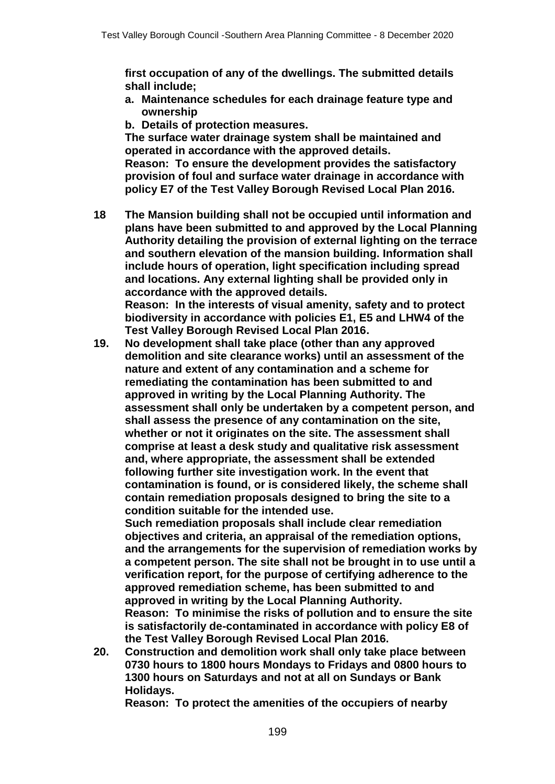**first occupation of any of the dwellings. The submitted details shall include;**

- **a. Maintenance schedules for each drainage feature type and ownership**
- **b. Details of protection measures.**

**The surface water drainage system shall be maintained and operated in accordance with the approved details. Reason: To ensure the development provides the satisfactory** 

**provision of foul and surface water drainage in accordance with policy E7 of the Test Valley Borough Revised Local Plan 2016.**

**18 The Mansion building shall not be occupied until information and plans have been submitted to and approved by the Local Planning Authority detailing the provision of external lighting on the terrace and southern elevation of the mansion building. Information shall include hours of operation, light specification including spread and locations. Any external lighting shall be provided only in accordance with the approved details. Reason: In the interests of visual amenity, safety and to protect biodiversity in accordance with policies E1, E5 and LHW4 of the** 

**Test Valley Borough Revised Local Plan 2016.**

**19. No development shall take place (other than any approved demolition and site clearance works) until an assessment of the nature and extent of any contamination and a scheme for remediating the contamination has been submitted to and approved in writing by the Local Planning Authority. The assessment shall only be undertaken by a competent person, and shall assess the presence of any contamination on the site, whether or not it originates on the site. The assessment shall comprise at least a desk study and qualitative risk assessment and, where appropriate, the assessment shall be extended following further site investigation work. In the event that contamination is found, or is considered likely, the scheme shall contain remediation proposals designed to bring the site to a condition suitable for the intended use.**

**Such remediation proposals shall include clear remediation objectives and criteria, an appraisal of the remediation options, and the arrangements for the supervision of remediation works by a competent person. The site shall not be brought in to use until a verification report, for the purpose of certifying adherence to the approved remediation scheme, has been submitted to and approved in writing by the Local Planning Authority. Reason: To minimise the risks of pollution and to ensure the site is satisfactorily de-contaminated in accordance with policy E8 of the Test Valley Borough Revised Local Plan 2016.**

**20. Construction and demolition work shall only take place between 0730 hours to 1800 hours Mondays to Fridays and 0800 hours to 1300 hours on Saturdays and not at all on Sundays or Bank Holidays.**

**Reason: To protect the amenities of the occupiers of nearby**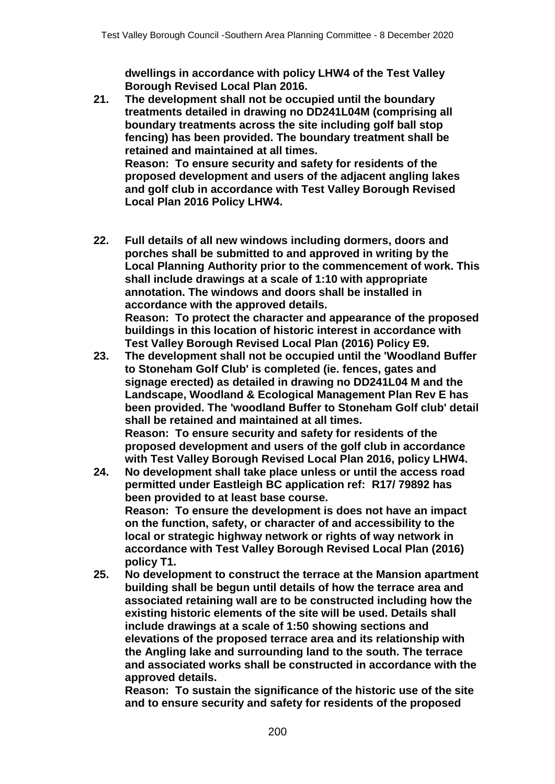**dwellings in accordance with policy LHW4 of the Test Valley Borough Revised Local Plan 2016.**

**21. The development shall not be occupied until the boundary treatments detailed in drawing no DD241L04M (comprising all boundary treatments across the site including golf ball stop fencing) has been provided. The boundary treatment shall be retained and maintained at all times. Reason: To ensure security and safety for residents of the proposed development and users of the adjacent angling lakes** 

**and golf club in accordance with Test Valley Borough Revised Local Plan 2016 Policy LHW4.**

**22. Full details of all new windows including dormers, doors and porches shall be submitted to and approved in writing by the Local Planning Authority prior to the commencement of work. This shall include drawings at a scale of 1:10 with appropriate annotation. The windows and doors shall be installed in accordance with the approved details. Reason: To protect the character and appearance of the proposed buildings in this location of historic interest in accordance with** 

**Test Valley Borough Revised Local Plan (2016) Policy E9.**

- **23. The development shall not be occupied until the 'Woodland Buffer to Stoneham Golf Club' is completed (ie. fences, gates and signage erected) as detailed in drawing no DD241L04 M and the Landscape, Woodland & Ecological Management Plan Rev E has been provided. The 'woodland Buffer to Stoneham Golf club' detail shall be retained and maintained at all times. Reason: To ensure security and safety for residents of the proposed development and users of the golf club in accordance with Test Valley Borough Revised Local Plan 2016, policy LHW4.**
- **24. No development shall take place unless or until the access road permitted under Eastleigh BC application ref: R17/ 79892 has been provided to at least base course. Reason: To ensure the development is does not have an impact on the function, safety, or character of and accessibility to the local or strategic highway network or rights of way network in accordance with Test Valley Borough Revised Local Plan (2016) policy T1.**
- **25. No development to construct the terrace at the Mansion apartment building shall be begun until details of how the terrace area and associated retaining wall are to be constructed including how the existing historic elements of the site will be used. Details shall include drawings at a scale of 1:50 showing sections and elevations of the proposed terrace area and its relationship with the Angling lake and surrounding land to the south. The terrace and associated works shall be constructed in accordance with the approved details.**

**Reason: To sustain the significance of the historic use of the site and to ensure security and safety for residents of the proposed**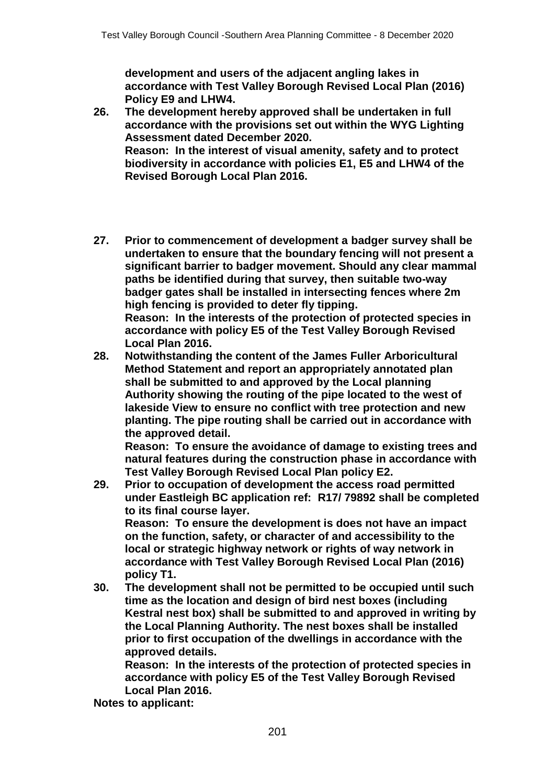**development and users of the adjacent angling lakes in accordance with Test Valley Borough Revised Local Plan (2016) Policy E9 and LHW4.**

- **26. The development hereby approved shall be undertaken in full accordance with the provisions set out within the WYG Lighting Assessment dated December 2020. Reason: In the interest of visual amenity, safety and to protect biodiversity in accordance with policies E1, E5 and LHW4 of the Revised Borough Local Plan 2016.**
- **27. Prior to commencement of development a badger survey shall be undertaken to ensure that the boundary fencing will not present a significant barrier to badger movement. Should any clear mammal paths be identified during that survey, then suitable two-way badger gates shall be installed in intersecting fences where 2m high fencing is provided to deter fly tipping. Reason: In the interests of the protection of protected species in accordance with policy E5 of the Test Valley Borough Revised**
- **Local Plan 2016. 28. Notwithstanding the content of the James Fuller Arboricultural Method Statement and report an appropriately annotated plan shall be submitted to and approved by the Local planning Authority showing the routing of the pipe located to the west of lakeside View to ensure no conflict with tree protection and new planting. The pipe routing shall be carried out in accordance with the approved detail.**

**Reason: To ensure the avoidance of damage to existing trees and natural features during the construction phase in accordance with Test Valley Borough Revised Local Plan policy E2.**

- **29. Prior to occupation of development the access road permitted under Eastleigh BC application ref: R17/ 79892 shall be completed to its final course layer. Reason: To ensure the development is does not have an impact on the function, safety, or character of and accessibility to the local or strategic highway network or rights of way network in accordance with Test Valley Borough Revised Local Plan (2016) policy T1.**
- **30. The development shall not be permitted to be occupied until such time as the location and design of bird nest boxes (including Kestral nest box) shall be submitted to and approved in writing by the Local Planning Authority. The nest boxes shall be installed prior to first occupation of the dwellings in accordance with the approved details.**

**Reason: In the interests of the protection of protected species in accordance with policy E5 of the Test Valley Borough Revised Local Plan 2016.**

**Notes to applicant:**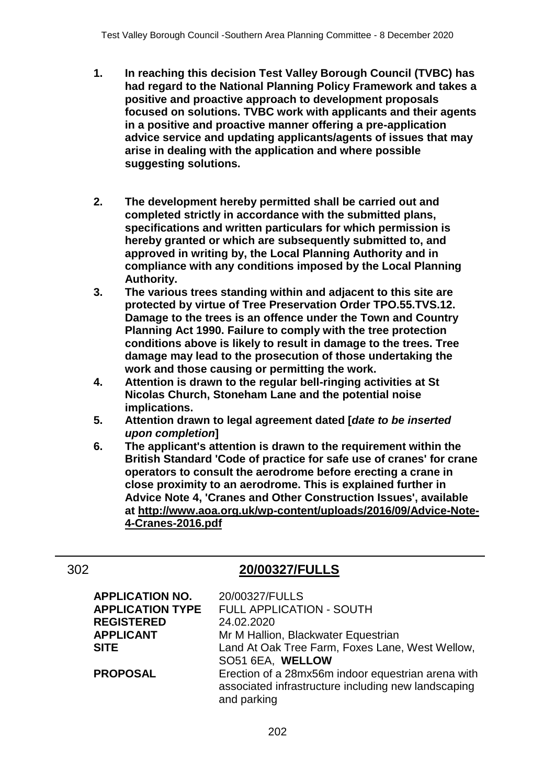- **1. In reaching this decision Test Valley Borough Council (TVBC) has had regard to the National Planning Policy Framework and takes a positive and proactive approach to development proposals focused on solutions. TVBC work with applicants and their agents in a positive and proactive manner offering a pre-application advice service and updating applicants/agents of issues that may arise in dealing with the application and where possible suggesting solutions.**
- **2. The development hereby permitted shall be carried out and completed strictly in accordance with the submitted plans, specifications and written particulars for which permission is hereby granted or which are subsequently submitted to, and approved in writing by, the Local Planning Authority and in compliance with any conditions imposed by the Local Planning Authority.**
- **3. The various trees standing within and adjacent to this site are protected by virtue of Tree Preservation Order TPO.55.TVS.12. Damage to the trees is an offence under the Town and Country Planning Act 1990. Failure to comply with the tree protection conditions above is likely to result in damage to the trees. Tree damage may lead to the prosecution of those undertaking the work and those causing or permitting the work.**
- **4. Attention is drawn to the regular bell-ringing activities at St Nicolas Church, Stoneham Lane and the potential noise implications.**
- **5. Attention drawn to legal agreement dated [***date to be inserted upon completion***]**
- **6. The applicant's attention is drawn to the requirement within the British Standard 'Code of practice for safe use of cranes' for crane operators to consult the aerodrome before erecting a crane in close proximity to an aerodrome. This is explained further in Advice Note 4, 'Cranes and Other Construction Issues', available at [http://www.aoa.org.uk/wp-content/uploads/2016/09/Advice-Note-](http://www.aoa.org.uk/wp-content/uploads/2016/09/Advice-Note-4-Cranes-2016.pdf)[4-Cranes-2016.pdf](http://www.aoa.org.uk/wp-content/uploads/2016/09/Advice-Note-4-Cranes-2016.pdf)**

| <b>APPLICATION NO.</b><br><b>APPLICATION TYPE</b><br><b>REGISTERED</b> | 20/00327/FULLS<br><b>FULL APPLICATION - SOUTH</b><br>24.02.2020                                                          |
|------------------------------------------------------------------------|--------------------------------------------------------------------------------------------------------------------------|
| <b>APPLICANT</b>                                                       | Mr M Hallion, Blackwater Equestrian                                                                                      |
| <b>SITE</b>                                                            | Land At Oak Tree Farm, Foxes Lane, West Wellow,<br>SO51 6EA, WELLOW                                                      |
| <b>PROPOSAL</b>                                                        | Erection of a 28mx56m indoor equestrian arena with<br>associated infrastructure including new landscaping<br>and parking |

# 302 **20/00327/FULLS**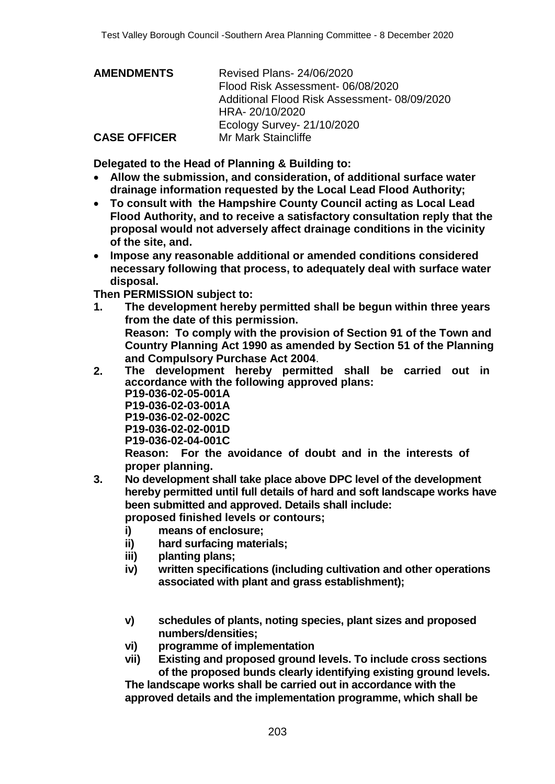| <b>AMENDMENTS</b>   | <b>Revised Plans- 24/06/2020</b>            |
|---------------------|---------------------------------------------|
|                     | Flood Risk Assessment-06/08/2020            |
|                     | Additional Flood Risk Assessment-08/09/2020 |
|                     | HRA-20/10/2020                              |
|                     | Ecology Survey- 21/10/2020                  |
| <b>CASE OFFICER</b> | Mr Mark Staincliffe                         |

**Delegated to the Head of Planning & Building to:**

- **Allow the submission, and consideration, of additional surface water drainage information requested by the Local Lead Flood Authority;**
- **To consult with the Hampshire County Council acting as Local Lead Flood Authority, and to receive a satisfactory consultation reply that the proposal would not adversely affect drainage conditions in the vicinity of the site, and.**
- **Impose any reasonable additional or amended conditions considered necessary following that process, to adequately deal with surface water disposal.**

**Then PERMISSION subject to:**

- **1. The development hereby permitted shall be begun within three years from the date of this permission. Reason: To comply with the provision of Section 91 of the Town and Country Planning Act 1990 as amended by Section 51 of the Planning and Compulsory Purchase Act 2004**.
- **2. The development hereby permitted shall be carried out in accordance with the following approved plans:**
	- **P19-036-02-05-001A**
	- **P19-036-02-03-001A**
	- **P19-036-02-02-002C P19-036-02-02-001D**
	- **P19-036-02-04-001C**

**Reason: For the avoidance of doubt and in the interests of proper planning.**

- **3. No development shall take place above DPC level of the development hereby permitted until full details of hard and soft landscape works have been submitted and approved. Details shall include: proposed finished levels or contours;** 
	- **i) means of enclosure;**
	- **ii) hard surfacing materials;**
	- **iii) planting plans;**
	- **iv) written specifications (including cultivation and other operations associated with plant and grass establishment);**
	- **v) schedules of plants, noting species, plant sizes and proposed numbers/densities;**
	- **vi) programme of implementation**
	- **vii) Existing and proposed ground levels. To include cross sections of the proposed bunds clearly identifying existing ground levels.**

**The landscape works shall be carried out in accordance with the approved details and the implementation programme, which shall be**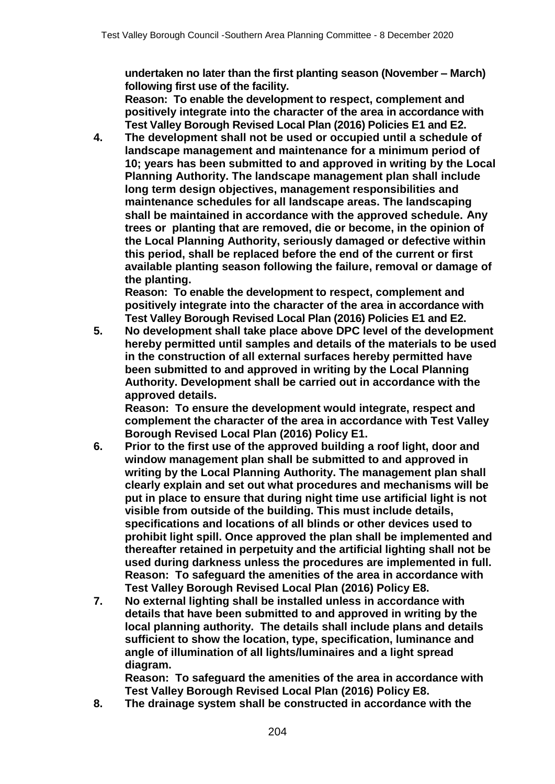**undertaken no later than the first planting season (November – March) following first use of the facility.**

**Reason: To enable the development to respect, complement and positively integrate into the character of the area in accordance with Test Valley Borough Revised Local Plan (2016) Policies E1 and E2.**

**4. The development shall not be used or occupied until a schedule of landscape management and maintenance for a minimum period of 10; years has been submitted to and approved in writing by the Local Planning Authority. The landscape management plan shall include long term design objectives, management responsibilities and maintenance schedules for all landscape areas. The landscaping shall be maintained in accordance with the approved schedule. Any trees or planting that are removed, die or become, in the opinion of the Local Planning Authority, seriously damaged or defective within this period, shall be replaced before the end of the current or first available planting season following the failure, removal or damage of the planting.**

**Reason: To enable the development to respect, complement and positively integrate into the character of the area in accordance with Test Valley Borough Revised Local Plan (2016) Policies E1 and E2.**

**5. No development shall take place above DPC level of the development hereby permitted until samples and details of the materials to be used in the construction of all external surfaces hereby permitted have been submitted to and approved in writing by the Local Planning Authority. Development shall be carried out in accordance with the approved details.**

**Reason: To ensure the development would integrate, respect and complement the character of the area in accordance with Test Valley Borough Revised Local Plan (2016) Policy E1.**

- **6. Prior to the first use of the approved building a roof light, door and window management plan shall be submitted to and approved in writing by the Local Planning Authority. The management plan shall clearly explain and set out what procedures and mechanisms will be put in place to ensure that during night time use artificial light is not visible from outside of the building. This must include details, specifications and locations of all blinds or other devices used to prohibit light spill. Once approved the plan shall be implemented and thereafter retained in perpetuity and the artificial lighting shall not be used during darkness unless the procedures are implemented in full. Reason: To safeguard the amenities of the area in accordance with Test Valley Borough Revised Local Plan (2016) Policy E8.**
- **7. No external lighting shall be installed unless in accordance with details that have been submitted to and approved in writing by the local planning authority. The details shall include plans and details sufficient to show the location, type, specification, luminance and angle of illumination of all lights/luminaires and a light spread diagram.**

**Reason: To safeguard the amenities of the area in accordance with Test Valley Borough Revised Local Plan (2016) Policy E8.**

**8. The drainage system shall be constructed in accordance with the**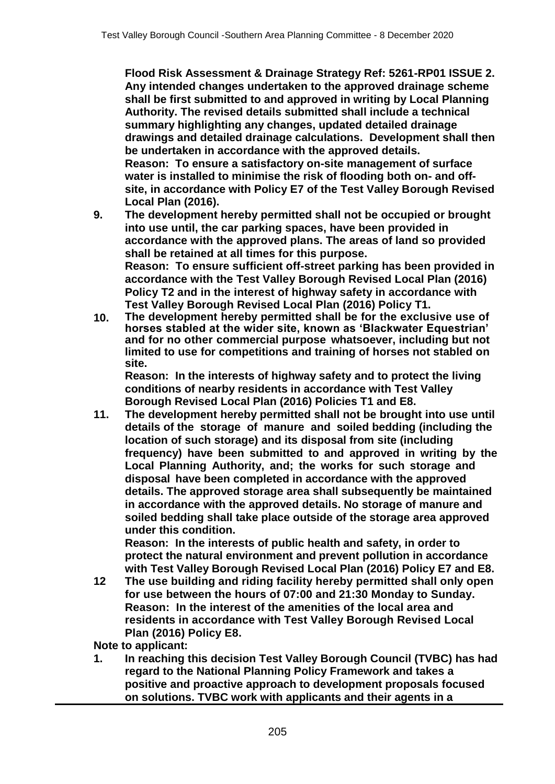**Flood Risk Assessment & Drainage Strategy Ref: 5261-RP01 ISSUE 2. Any intended changes undertaken to the approved drainage scheme shall be first submitted to and approved in writing by Local Planning Authority. The revised details submitted shall include a technical summary highlighting any changes, updated detailed drainage drawings and detailed drainage calculations. Development shall then be undertaken in accordance with the approved details. Reason: To ensure a satisfactory on-site management of surface water is installed to minimise the risk of flooding both on- and offsite, in accordance with Policy E7 of the Test Valley Borough Revised Local Plan (2016).**

- **9. The development hereby permitted shall not be occupied or brought into use until, the car parking spaces, have been provided in accordance with the approved plans. The areas of land so provided shall be retained at all times for this purpose. Reason: To ensure sufficient off-street parking has been provided in accordance with the Test Valley Borough Revised Local Plan (2016) Policy T2 and in the interest of highway safety in accordance with Test Valley Borough Revised Local Plan (2016) Policy T1.**
- **10. The development hereby permitted shall be for the exclusive use of horses stabled at the wider site, known as 'Blackwater Equestrian' and for no other commercial purpose whatsoever, including but not limited to use for competitions and training of horses not stabled on site.**

**Reason: In the interests of highway safety and to protect the living conditions of nearby residents in accordance with Test Valley Borough Revised Local Plan (2016) Policies T1 and E8.**

**11. The development hereby permitted shall not be brought into use until details of the storage of manure and soiled bedding (including the location of such storage) and its disposal from site (including frequency) have been submitted to and approved in writing by the Local Planning Authority, and; the works for such storage and disposal have been completed in accordance with the approved details. The approved storage area shall subsequently be maintained in accordance with the approved details. No storage of manure and soiled bedding shall take place outside of the storage area approved under this condition.**

**Reason: In the interests of public health and safety, in order to protect the natural environment and prevent pollution in accordance with Test Valley Borough Revised Local Plan (2016) Policy E7 and E8.**

**12 The use building and riding facility hereby permitted shall only open for use between the hours of 07:00 and 21:30 Monday to Sunday. Reason: In the interest of the amenities of the local area and residents in accordance with Test Valley Borough Revised Local Plan (2016) Policy E8.**

**Note to applicant:**

**1. In reaching this decision Test Valley Borough Council (TVBC) has had regard to the National Planning Policy Framework and takes a positive and proactive approach to development proposals focused on solutions. TVBC work with applicants and their agents in a**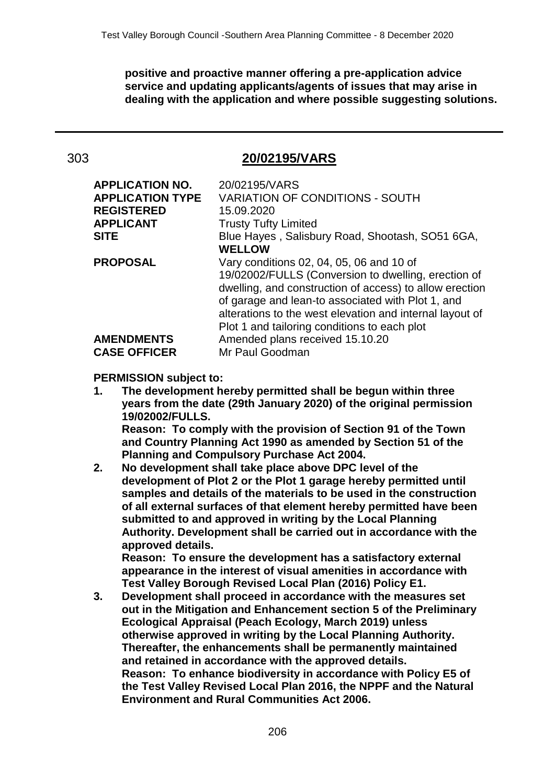**positive and proactive manner offering a pre-application advice service and updating applicants/agents of issues that may arise in dealing with the application and where possible suggesting solutions.**

### 303 **20/02195/VARS**

| 20/02195/VARS                                            |
|----------------------------------------------------------|
| <b>VARIATION OF CONDITIONS - SOUTH</b>                   |
| 15.09.2020                                               |
| <b>Trusty Tufty Limited</b>                              |
| Blue Hayes, Salisbury Road, Shootash, SO51 6GA,          |
| <b>WELLOW</b>                                            |
| Vary conditions 02, 04, 05, 06 and 10 of                 |
| 19/02002/FULLS (Conversion to dwelling, erection of      |
| dwelling, and construction of access) to allow erection  |
| of garage and lean-to associated with Plot 1, and        |
| alterations to the west elevation and internal layout of |
| Plot 1 and tailoring conditions to each plot             |
| Amended plans received 15.10.20                          |
| Mr Paul Goodman                                          |
|                                                          |

### **PERMISSION subject to:**

**1. The development hereby permitted shall be begun within three years from the date (29th January 2020) of the original permission 19/02002/FULLS. Reason: To comply with the provision of Section 91 of the Town** 

**and Country Planning Act 1990 as amended by Section 51 of the Planning and Compulsory Purchase Act 2004.**

**2. No development shall take place above DPC level of the development of Plot 2 or the Plot 1 garage hereby permitted until samples and details of the materials to be used in the construction of all external surfaces of that element hereby permitted have been submitted to and approved in writing by the Local Planning Authority. Development shall be carried out in accordance with the approved details.**

**Reason: To ensure the development has a satisfactory external appearance in the interest of visual amenities in accordance with Test Valley Borough Revised Local Plan (2016) Policy E1.**

**3. Development shall proceed in accordance with the measures set out in the Mitigation and Enhancement section 5 of the Preliminary Ecological Appraisal (Peach Ecology, March 2019) unless otherwise approved in writing by the Local Planning Authority. Thereafter, the enhancements shall be permanently maintained and retained in accordance with the approved details. Reason: To enhance biodiversity in accordance with Policy E5 of the Test Valley Revised Local Plan 2016, the NPPF and the Natural Environment and Rural Communities Act 2006.**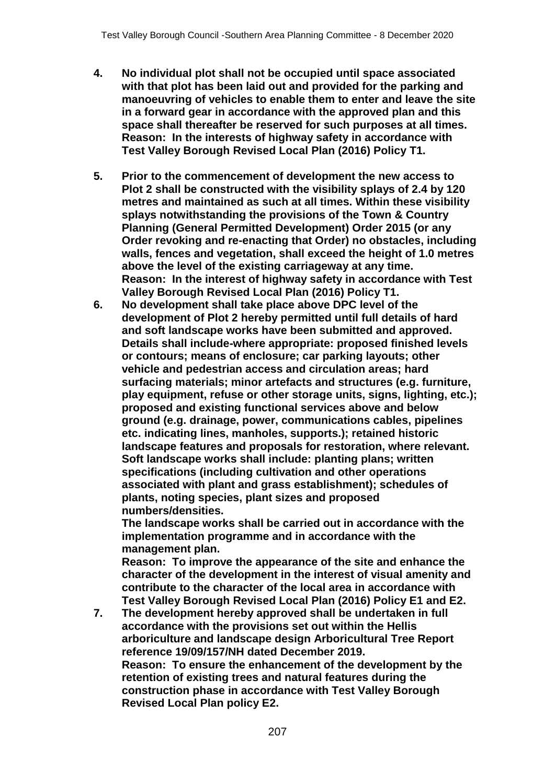- **4. No individual plot shall not be occupied until space associated with that plot has been laid out and provided for the parking and manoeuvring of vehicles to enable them to enter and leave the site in a forward gear in accordance with the approved plan and this space shall thereafter be reserved for such purposes at all times. Reason: In the interests of highway safety in accordance with Test Valley Borough Revised Local Plan (2016) Policy T1.**
- **5. Prior to the commencement of development the new access to Plot 2 shall be constructed with the visibility splays of 2.4 by 120 metres and maintained as such at all times. Within these visibility splays notwithstanding the provisions of the Town & Country Planning (General Permitted Development) Order 2015 (or any Order revoking and re-enacting that Order) no obstacles, including walls, fences and vegetation, shall exceed the height of 1.0 metres above the level of the existing carriageway at any time. Reason: In the interest of highway safety in accordance with Test Valley Borough Revised Local Plan (2016) Policy T1.**
- **6. No development shall take place above DPC level of the development of Plot 2 hereby permitted until full details of hard and soft landscape works have been submitted and approved. Details shall include-where appropriate: proposed finished levels or contours; means of enclosure; car parking layouts; other vehicle and pedestrian access and circulation areas; hard surfacing materials; minor artefacts and structures (e.g. furniture, play equipment, refuse or other storage units, signs, lighting, etc.); proposed and existing functional services above and below ground (e.g. drainage, power, communications cables, pipelines etc. indicating lines, manholes, supports.); retained historic landscape features and proposals for restoration, where relevant. Soft landscape works shall include: planting plans; written specifications (including cultivation and other operations associated with plant and grass establishment); schedules of plants, noting species, plant sizes and proposed numbers/densities.**

**The landscape works shall be carried out in accordance with the implementation programme and in accordance with the management plan.**

**Reason: To improve the appearance of the site and enhance the character of the development in the interest of visual amenity and contribute to the character of the local area in accordance with Test Valley Borough Revised Local Plan (2016) Policy E1 and E2.**

**7. The development hereby approved shall be undertaken in full accordance with the provisions set out within the Hellis arboriculture and landscape design Arboricultural Tree Report reference 19/09/157/NH dated December 2019. Reason: To ensure the enhancement of the development by the retention of existing trees and natural features during the construction phase in accordance with Test Valley Borough Revised Local Plan policy E2.**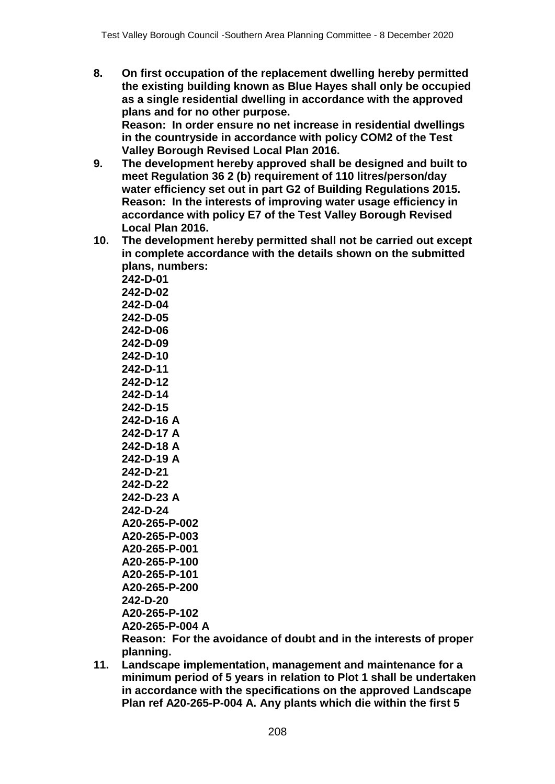- **8. On first occupation of the replacement dwelling hereby permitted the existing building known as Blue Hayes shall only be occupied as a single residential dwelling in accordance with the approved plans and for no other purpose. Reason: In order ensure no net increase in residential dwellings in the countryside in accordance with policy COM2 of the Test Valley Borough Revised Local Plan 2016.**
- **9. The development hereby approved shall be designed and built to meet Regulation 36 2 (b) requirement of 110 litres/person/day water efficiency set out in part G2 of Building Regulations 2015. Reason: In the interests of improving water usage efficiency in accordance with policy E7 of the Test Valley Borough Revised Local Plan 2016.**
- **10. The development hereby permitted shall not be carried out except in complete accordance with the details shown on the submitted plans, numbers:**

**242-D-01 242-D-02 242-D-04 242-D-05 242-D-06 242-D-09 242-D-10 242-D-11 242-D-12 242-D-14 242-D-15 242-D-16 A 242-D-17 A 242-D-18 A 242-D-19 A 242-D-21 242-D-22 242-D-23 A 242-D-24 A20-265-P-002 A20-265-P-003 A20-265-P-001 A20-265-P-100 A20-265-P-101 A20-265-P-200 242-D-20 A20-265-P-102 A20-265-P-004 A**

**Reason: For the avoidance of doubt and in the interests of proper planning.**

**11. Landscape implementation, management and maintenance for a minimum period of 5 years in relation to Plot 1 shall be undertaken in accordance with the specifications on the approved Landscape Plan ref A20-265-P-004 A. Any plants which die within the first 5**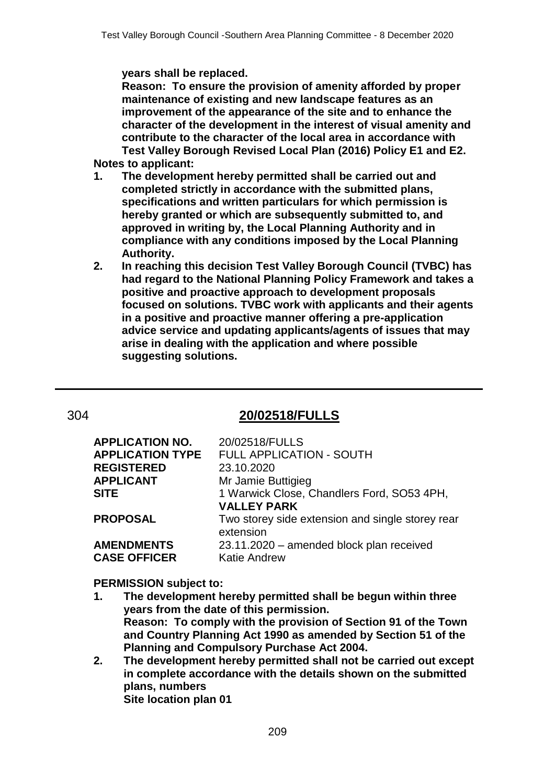**years shall be replaced.** 

**Reason: To ensure the provision of amenity afforded by proper maintenance of existing and new landscape features as an improvement of the appearance of the site and to enhance the character of the development in the interest of visual amenity and contribute to the character of the local area in accordance with Test Valley Borough Revised Local Plan (2016) Policy E1 and E2.** 

**Notes to applicant:**

- **1. The development hereby permitted shall be carried out and completed strictly in accordance with the submitted plans, specifications and written particulars for which permission is hereby granted or which are subsequently submitted to, and approved in writing by, the Local Planning Authority and in compliance with any conditions imposed by the Local Planning Authority.**
- **2. In reaching this decision Test Valley Borough Council (TVBC) has had regard to the National Planning Policy Framework and takes a positive and proactive approach to development proposals focused on solutions. TVBC work with applicants and their agents in a positive and proactive manner offering a pre-application advice service and updating applicants/agents of issues that may arise in dealing with the application and where possible suggesting solutions.**

## 304 **20/02518/FULLS**

| <b>APPLICATION NO.</b>  | 20/02518/FULLS                                                |
|-------------------------|---------------------------------------------------------------|
| <b>APPLICATION TYPE</b> | FULL APPLICATION - SOUTH                                      |
| <b>REGISTERED</b>       | 23.10.2020                                                    |
| <b>APPLICANT</b>        | Mr Jamie Buttigieg                                            |
| <b>SITE</b>             | 1 Warwick Close, Chandlers Ford, SO53 4PH,                    |
|                         | <b>VALLEY PARK</b>                                            |
| <b>PROPOSAL</b>         | Two storey side extension and single storey rear<br>extension |
| <b>AMENDMENTS</b>       | 23.11.2020 – amended block plan received                      |
| <b>CASE OFFICER</b>     | <b>Katie Andrew</b>                                           |
|                         |                                                               |

### **PERMISSION subject to:**

- **1. The development hereby permitted shall be begun within three years from the date of this permission. Reason: To comply with the provision of Section 91 of the Town and Country Planning Act 1990 as amended by Section 51 of the Planning and Compulsory Purchase Act 2004.**
- **2. The development hereby permitted shall not be carried out except in complete accordance with the details shown on the submitted plans, numbers Site location plan 01**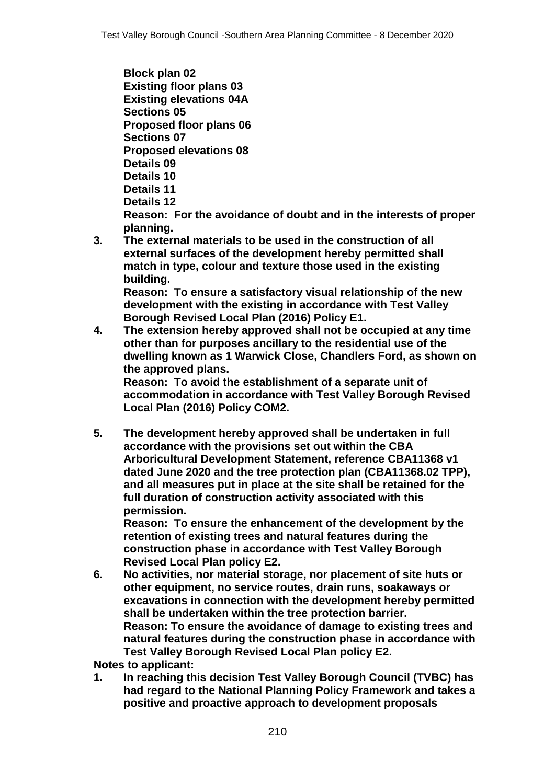**Block plan 02 Existing floor plans 03 Existing elevations 04A Sections 05 Proposed floor plans 06 Sections 07 Proposed elevations 08 Details 09 Details 10 Details 11 Details 12 Reason: For the avoidance of doubt and in the interests of proper planning.**

**3. The external materials to be used in the construction of all external surfaces of the development hereby permitted shall match in type, colour and texture those used in the existing building. Reason: To ensure a satisfactory visual relationship of the new** 

**development with the existing in accordance with Test Valley Borough Revised Local Plan (2016) Policy E1.**

**4. The extension hereby approved shall not be occupied at any time other than for purposes ancillary to the residential use of the dwelling known as 1 Warwick Close, Chandlers Ford, as shown on the approved plans.** 

**Reason: To avoid the establishment of a separate unit of accommodation in accordance with Test Valley Borough Revised Local Plan (2016) Policy COM2.**

**5. The development hereby approved shall be undertaken in full accordance with the provisions set out within the CBA Arboricultural Development Statement, reference CBA11368 v1 dated June 2020 and the tree protection plan (CBA11368.02 TPP), and all measures put in place at the site shall be retained for the full duration of construction activity associated with this permission.** 

**Reason: To ensure the enhancement of the development by the retention of existing trees and natural features during the construction phase in accordance with Test Valley Borough Revised Local Plan policy E2.**

**6. No activities, nor material storage, nor placement of site huts or other equipment, no service routes, drain runs, soakaways or excavations in connection with the development hereby permitted shall be undertaken within the tree protection barrier. Reason: To ensure the avoidance of damage to existing trees and natural features during the construction phase in accordance with Test Valley Borough Revised Local Plan policy E2.**

**Notes to applicant:**

**1. In reaching this decision Test Valley Borough Council (TVBC) has had regard to the National Planning Policy Framework and takes a positive and proactive approach to development proposals**